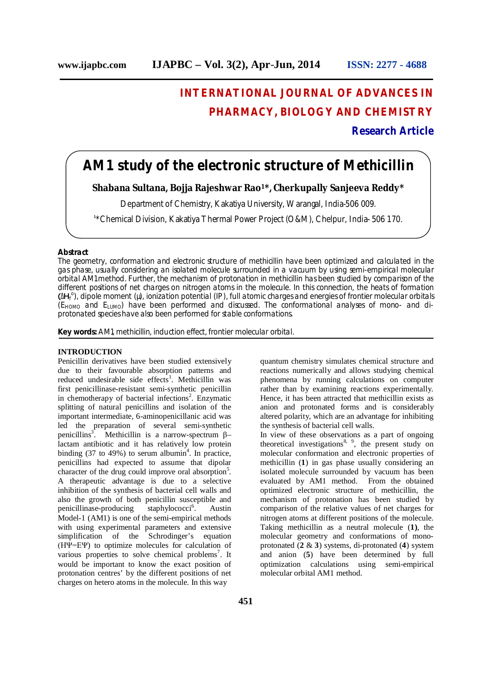# **INTERNATIONAL JOURNAL OF ADVANCES IN PHARMACY, BIOLOGY AND CHEMISTRY**

**Research Article**

# **AM1 study of the electronic structure of Methicillin**

**Shabana Sultana, Bojja Rajeshwar Rao<sup>1</sup>\*, Cherkupally Sanjeeva Reddy\*** 

Department of Chemistry, Kakatiya University, Warangal, India-506 009.

**1** \*Chemical Division, Kakatiya Thermal Power Project (O&M), Chelpur, India- 506 170.

# **Abstract**

The geometry, conformation and electronic structure of methicillin have been optimized and calculated in the gas phase, usually considering an isolated molecule surrounded in a vacuum by using semi-empirical molecular orbital AM1 method. Further, the mechanism of protonation in methicillin has been studied by comparison of the different positions of net charges on nitrogen atoms in the molecule. In this connection, the heats of formation (ΔH<sub>f</sub><sup>o</sup>), dipole moment (μ), ionization potential (IP), full atomic charges and energies of frontier molecular orbitals  $(E_{HOMO})$  and  $E_{LUMO}$ ) have been performed and discussed. The conformational analyses of mono- and diprotonated species have also been performed for stable conformations.

**Key words:** AM1, methicillin, induction effect, frontier molecular orbital.

# **INTRODUCTION**

Penicillin derivatives have been studied extensively due to their favourable absorption patterns and reduced undesirable side effects<sup>1</sup>. Methicillin was first penicillinase-resistant semi-synthetic penicillin in chemotherapy of bacterial infections<sup>2</sup>. Enzymatic splitting of natural penicillins and isolation of the important intermediate, 6-aminopenicillanic acid was led the preparation of several semi-synthetic penicillins<sup>3</sup>. Methicillin is a narrow-spectrum  $\beta$ lactam antibiotic and it has relatively low protein binding  $(37 \text{ to } 49\%)$  to serum albumin<sup>4</sup>. In practice, penicillins had expected to assume that dipolar character of the drug could improve oral absorption<sup>5</sup>. A therapeutic advantage is due to a selective inhibition of the synthesis of bacterial cell walls and also the growth of both penicillin susceptible and penicillinase-producing staphylococci<sup>6</sup>. . Austin Model-1 (AM1) is one of the semi-empirical methods with using experimental parameters and extensive simplification of the Schrodinger's equation (HΨ=EΨ) to optimize molecules for calculation of various properties to solve chemical problems<sup>7</sup>. It would be important to know the exact position of protonation centres' by the different positions of net charges on hetero atoms in the molecule. In this way

quantum chemistry simulates chemical structure and reactions numerically and allows studying chemical phenomena by running calculations on computer rather than by examining reactions experimentally. Hence, it has been attracted that methicillin exists as anion and protonated forms and is considerably altered polarity, which are an advantage for inhibiting the synthesis of bacterial cell walls.

In view of these observations as a part of ongoing theoretical investigations<sup>8, 9</sup>, the present study on molecular conformation and electronic properties of methicillin (**1**) in gas phase usually considering an isolated molecule surrounded by vacuum has been evaluated by AM1 method. From the obtained optimized electronic structure of methicillin, the mechanism of protonation has been studied by comparison of the relative values of net charges for nitrogen atoms at different positions of the molecule. Taking methicillin as a neutral molecule (**1)**, the molecular geometry and conformations of monoprotonated (**2** & **3**) systems, di-protonated (**4**) system and anion (**5**) have been determined by full optimization calculations using semi-empirical molecular orbital AM1 method.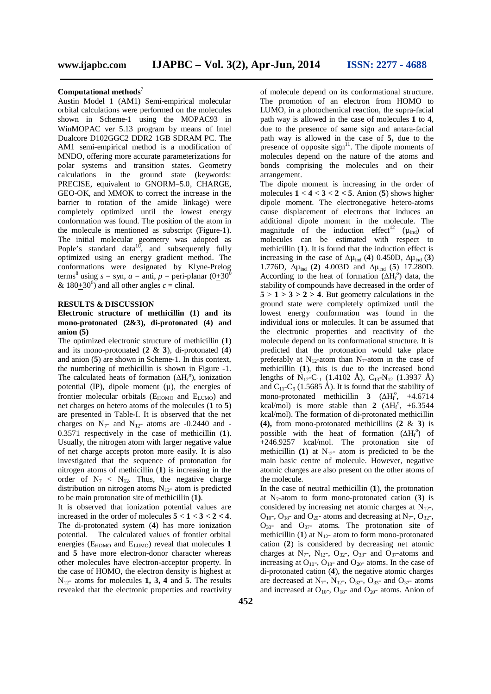#### **Computational methods**<sup>7</sup>

Austin Model 1 (AM1) Semi-empirical molecular orbital calculations were performed on the molecules shown in Scheme-1 using the MOPAC93 in WinMOPAC ver 5.13 program by means of Intel Dualcore D102GGC2 DDR2 1GB SDRAM PC. The AM1 semi-empirical method is a modification of MNDO, offering more accurate parameterizations for polar systems and transition states. Geometry calculations in the ground state (keywords: PRECISE, equivalent to GNORM=5.0, CHARGE, GEO-OK, and MMOK to correct the increase in the barrier to rotation of the amide linkage) were completely optimized until the lowest energy conformation was found. The position of the atom in the molecule is mentioned as subscript (Figure-1). The initial molecular geometry was adopted as Pople's standard data<sup>10</sup>, and subsequently fully optimized using an energy gradient method. The conformations were designated by Klyne-Prelog terms<sup>8</sup> using  $s =$ syn,  $a =$ anti,  $p =$ peri-planar  $(0+30^0)$ &  $180+30^0$  and all other angles *c* = clinal.

#### **RESULTS & DISCUSSION**

# **Electronic structure of methicillin (1) and its mono-protonated (2&3), di-protonated (4) and anion (5)**

The optimized electronic structure of methicillin (**1**) and its mono-protonated (**2** & **3**), di-protonated (**4**) and anion (**5**) are shown in Scheme-1. In this context, the numbering of methicillin is shown in Figure -1. The calculated heats of formation ( $\Delta H_f^{\circ}$ ), ionization potential  $(\text{IP})$ , dipole moment  $(\mu)$ , the energies of frontier molecular orbitals  $(E_{HOMO}$  and  $E_{LUMO}$ ) and net charges on hetero atoms of the molecules (**1** to **5**) are presented in Table-I. It is observed that the net charges on  $N<sub>7</sub>$  and  $N<sub>12</sub>$  atoms are -0.2440 and -0.3571 respectively in the case of methicillin (**1**). Usually, the nitrogen atom with larger negative value of net charge accepts proton more easily. It is also investigated that the sequence of protonation for nitrogen atoms of methicillin (**1**) is increasing in the order of  $N_7 < N_{12}$ . Thus, the negative charge distribution on nitrogen atoms  $N_{12}$ - atom is predicted to be main protonation site of methicillin (**1)**.

It is observed that ionization potential values are increased in the order of molecules  $5 < 1 < 3 < 2 < 4$ . The di-protonated system (**4**) has more ionization potential. The calculated values of frontier orbital energies ( $E_{HOMO}$  and  $E_{LUMO}$ ) reveal that molecules 1 and **5** have more electron-donor character whereas other molecules have electron-acceptor property. In the case of HOMO, the electron density is highest at N12- atoms for molecules **1, 3, 4** and **5**. The results revealed that the electronic properties and reactivity

of molecule depend on its conformational structure. The promotion of an electron from HOMO to LUMO, in a photochemical reaction, the supra-facial path way is allowed in the case of molecules **1** to **4**, due to the presence of same sign and antara-facial path way is allowed in the case of **5,** due to the presence of opposite  $sign<sup>11</sup>$ . The dipole moments of molecules depend on the nature of the atoms and bonds comprising the molecules and on their arrangement.

The dipole moment is increasing in the order of molecules  $1 < 4 < 3 < 2 < 5$ . Anion (5) shows higher dipole moment. The electronegative hetero-atoms cause displacement of electrons that induces an additional dipole moment in the molecule. The magnitude of the induction effect<sup>12</sup> ( $\mu_{ind}$ ) of molecules can be estimated with respect to methicillin (**1**). It is found that the induction effect is increasing in the case of  $\Delta \mu_{ind}$  (**4**) 0.450D,  $\Delta \mu_{ind}$  (**3**) 1.776D, ∆µind (**2**) 4.003D and ∆µind (**5**) 17.280D. According to the heat of formation  $(\Delta H_f^o)$  data, the stability of compounds have decreased in the order of  $5 > 1 > 3 > 2 > 4$ . But geometry calculations in the ground state were completely optimized until the lowest energy conformation was found in the individual ions or molecules. It can be assumed that the electronic properties and reactivity of the molecule depend on its conformational structure. It is predicted that the protonation would take place preferably at  $N_{12}$ -atom than  $N_{7}$ -atom in the case of methicillin (**1**), this is due to the increased bond lengths of  $N_{12}$ -C<sub>11</sub> (1.4102 Å), C<sub>13</sub>-N<sub>12</sub> (1.3937 Å) and  $C_{11}$ -C<sub>9</sub> (1.5685 Å). It is found that the stability of mono-protonated methicillin **3**  $(\Delta H_f^{\circ}, +4.6714)$ kcal/mol) is more stable than 2  $(\Delta H_f^{\circ}, +6.3544)$ kcal/mol). The formation of di-protonated methicillin **(4),** from mono-protonated methicillins (**2** & **3**) is possible with the heat of formation  $(\Delta H_f^o)$  of +246.9257 kcal/mol. The protonation site of methicillin **(1)** at  $N_{12}$ - atom is predicted to be the main basic centre of molecule. However, negative atomic charges are also present on the other atoms of the molecule.

In the case of neutral methicillin (**1**), the protonation at  $N<sub>7</sub>$ -atom to form mono-protonated cation (3) is considered by increasing net atomic charges at  $N_{12}$ -,  $O_{10}$ -,  $O_{18}$ - and  $O_{20}$ - atoms and decreasing at N<sub>7</sub>-,  $O_{32}$ -,  $O_{33}$ - and  $O_{37}$ - atoms. The protonation site of methicillin (1) at  $N_{12}$ - atom to form mono-protonated cation (**2**) is considered by decreasing net atomic charges at N<sub>7</sub>-, N<sub>12</sub>-, O<sub>32</sub>-, O<sub>33</sub>- and O<sub>37</sub>-atoms and increasing at  $O_{10}$ -,  $O_{18}$ - and  $O_{20}$ - atoms. In the case of di-protonated cation (**4**), the negative atomic charges are decreased at  $N_7$ ,  $N_{12}$ ,  $O_{32}$ ,  $O_{33}$ - and  $O_{37}$ - atoms and increased at  $O_{10}$ -,  $O_{18}$ - and  $O_{20}$ - atoms. Anion of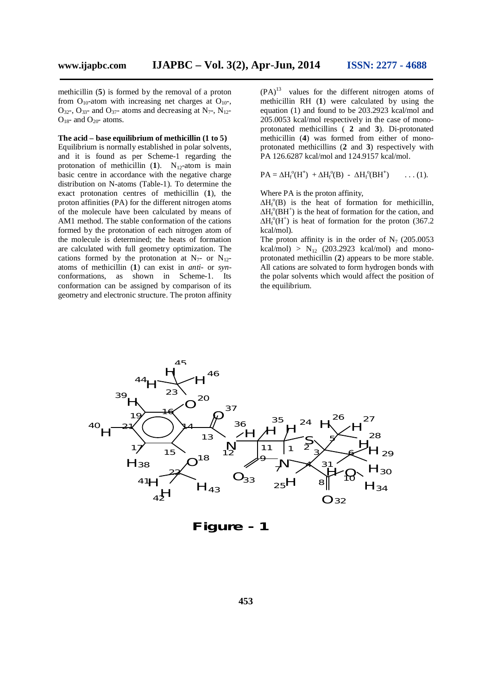methicillin (**5**) is formed by the removal of a proton from  $O_{10}$ -atom with increasing net charges at  $O_{10}$ - $O_{32}$ ,  $O_{33}$ - and  $O_{37}$ - atoms and decreasing at N<sub>7</sub>-, N<sub>12</sub>- $O_{18}$ - and  $O_{20}$ - atoms.

#### **The acid – base equilibrium of methicillin (1 to 5)**

Equilibrium is normally established in polar solvents, and it is found as per Scheme-1 regarding the protonation of methicillin  $(1)$ . N<sub>12</sub>-atom is main basic centre in accordance with the negative charge distribution on N-atoms (Table-1). To determine the exact protonation centres of methicillin (**1**), the proton affinities (PA) for the different nitrogen atoms of the molecule have been calculated by means of AM1 method. The stable conformation of the cations formed by the protonation of each nitrogen atom of the molecule is determined; the heats of formation are calculated with full geometry optimization. The cations formed by the protonation at  $N_{7}$ - or  $N_{12}$ atoms of methicillin (**1**) can exist in *anti-* or *syn*conformations, as shown in Scheme-1. Its conformation can be assigned by comparison of its geometry and electronic structure. The proton affinity

 $(PA)^{13}$  values for the different nitrogen atoms of methicillin RH (**1**) were calculated by using the equation (1) and found to be 203.2923 kcal/mol and 205.0053 kcal/mol respectively in the case of monoprotonated methicillins ( **2** and **3**). Di-protonated methicillin (**4**) was formed from either of monoprotonated methicillins (**2** and **3**) respectively with PA 126.6287 kcal/mol and 124.9157 kcal/mol.

$$
PA = \Delta H_{\mathrm{f}}^{\mathrm{o}}(H^{+}) + \Delta H_{\mathrm{f}}^{\mathrm{o}}(B) - \Delta H_{\mathrm{f}}^{\mathrm{o}}(BH^{+}) \qquad \ldots (1).
$$

Where PA is the proton affinity,

 $\Delta H_f^{\circ}(\text{B})$  is the heat of formation for methicillin,  $\Delta H_f^{\circ}(\text{BH}^+)$  is the heat of formation for the cation, and  $\Delta H_f^{\circ}$ (H<sup>+</sup>) is heat of formation for the proton (367.2) kcal/mol).

The proton affinity is in the order of  $N_7$  (205.0053) kcal/mol) >  $N_{12}$  (203.2923 kcal/mol) and monoprotonated methicillin (**2**) appears to be more stable. All cations are solvated to form hydrogen bonds with the polar solvents which would affect the position of the equilibrium.



**Figure - 1**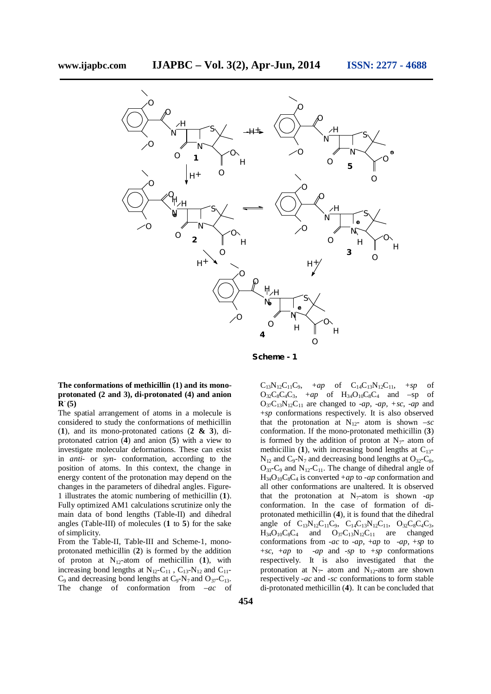

**Scheme - 1**

## **The conformations of methicillin (1) and its monoprotonated (2 and 3), di-protonated (4) and anion**   ${\bf R}^-(5)$

The spatial arrangement of atoms in a molecule is considered to study the conformations of methicillin (**1**), and its mono-protonated cations (**2 & 3**), diprotonated catrion (**4**) and anion (**5**) with a view to investigate molecular deformations. These can exist in *anti-* or *syn-* conformation, according to the position of atoms. In this context, the change in energy content of the protonation may depend on the changes in the parameters of dihedral angles. Figure-1 illustrates the atomic numbering of methicillin (**1**). Fully optimized AM1 calculations scrutinize only the main data of bond lengths (Table-II) and dihedral angles (Table-III) of molecules (**1** to **5**) for the sake of simplicity.

From the Table-II, Table-III and Scheme-1, monoprotonated methicillin (**2**) is formed by the addition of proton at  $N_{12}$ -atom of methicillin  $(1)$ , with increasing bond lengths at  $N_{12}-C_{11}$ ,  $C_{13}-N_{12}$  and  $C_{11} C_9$  and decreasing bond lengths at  $C_9$ -N<sub>7</sub> and O<sub>37</sub>-C<sub>13</sub>. The change of conformation from –*ac* of  $C_{13}N_{12}C_{11}C_9$ ,  $+ap$  of  $C_{14}C_{13}N_{12}C_{11}$ ,  $+sp$  of  $O_{32}C_8C_4C_3$ ,  $+ap$  of  $H_{34}O_{10}C_8C_4$  and  $-sp$  of  $O_{37}C_{13}N_{12}C_{11}$  are changed to *-ap*, *-ap*, *+sc*, *-ap* and +*sp* conformations respectively. It is also observed that the protonation at  $N_{12}$ - atom is shown  $-sc$ conformation. If the mono-protonated methicillin (**3**) is formed by the addition of proton at  $N<sub>7</sub>$ - atom of methicillin  $(1)$ , with increasing bond lengths at  $C_{13}$ - $N_{12}$  and  $C_9$ - $N_7$  and decreasing bond lengths at  $O_{32}$ - $C_8$ ,  $O_{33}$ -C<sub>9</sub> and N<sub>12</sub>-C<sub>11</sub>. The change of dihedral angle of  $H_{34}O_{10}C_8C_4$  is converted  $+ap$  to  $-ap$  conformation and all other conformations are unaltered. It is observed that the protonation at  $N_7$ -atom is shown *-ap* conformation. In the case of formation of diprotonated methicillin (**4**), it is found that the dihedral angle of  $C_{13}N_{12}C_{11}C_9$ ,  $C_{14}C_{13}N_{12}C_{11}$ ,  $O_{32}C_8C_4C_3$ ,<br> $H_{34}O_{10}C_8C_4$  and  $O_{37}C_{13}N_{12}C_{11}$  are changed  $H_{34}O_{10}C_8C_4$  and  $O_{37}C_{13}N_{12}C_{11}$  are changed conformations from *-ac* to -*ap*, +*ap* to -*ap*, +*sp* to +*sc*, +*ap* to -*ap* and -*sp* to +*sp* conformations respectively. It is also investigated that the protonation at  $N_7$ - atom and  $N_{12}$ -atom are shown respectively -*ac* and -*sc* conformations to form stable di-protonated methicillin (**4**). It can be concluded that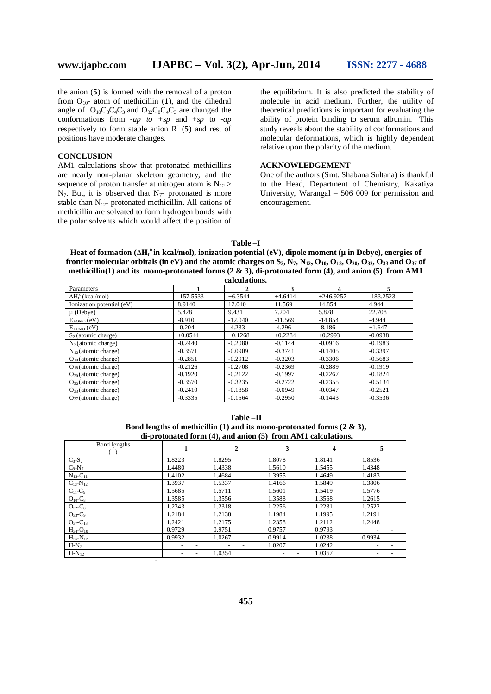the anion (**5**) is formed with the removal of a proton from  $O_{10}$ - atom of methicillin (1), and the dihedral angle of  $O_{10}C_8C_4C_3$  and  $O_{32}C_8C_4C_3$  are changed the conformations from -*ap to +sp* and +*sp* to *-ap* respectively to form stable anion  $R^-(5)$  and rest of positions have moderate changes.

# **CONCLUSION**

AM1 calculations show that protonated methicillins are nearly non-planar skeleton geometry, and the sequence of proton transfer at nitrogen atom is  $N_{12}$  $N_7$ . But, it is observed that  $N_7$ - protonated is more stable than  $N_{12}$ - protonated methicillin. All cations of methicillin are solvated to form hydrogen bonds with the polar solvents which would affect the position of

-

the equilibrium. It is also predicted the stability of molecule in acid medium. Further, the utility of theoretical predictions is important for evaluating the ability of protein binding to serum albumin. This study reveals about the stability of conformations and molecular deformations, which is highly dependent relative upon the polarity of the medium.

# **ACKNOWLEDGEMENT**

One of the authors (Smt. Shabana Sultana) is thankful to the Head, Department of Chemistry, Kakatiya University, Warangal – 506 009 for permission and encouragement.

#### **Table –I**

**Heat of formation (∆H<sup>f</sup> <sup>o</sup>in kcal/mol), ionization potential (eV), dipole moment (µ in Debye), energies of**  frontier molecular orbitals (in eV) and the atomic charges on  $S_2$ ,  $N_7$ ,  $N_{12}$ ,  $O_{10}$ ,  $O_{18}$ ,  $O_{20}$ ,  $O_{32}$ ,  $O_{33}$  and  $O_{37}$  of **methicillin(1) and its mono-protonated forms (2 & 3), di-protonated form (4), and anion (5) from AM1** 

| calculations.                   |             |           |           |             |             |  |  |  |
|---------------------------------|-------------|-----------|-----------|-------------|-------------|--|--|--|
| Parameters                      |             | 2         | 3         | 4           | 5.          |  |  |  |
| $\Delta H_f^{\circ}$ (kcal/mol) | $-157.5533$ | $+6.3544$ | $+4.6414$ | $+246.9257$ | $-183.2523$ |  |  |  |
| Ionization potential (eV)       | 8.9140      | 12.040    | 11.569    | 14.854      | 4.944       |  |  |  |
| $\mu$ (Debye)                   | 5.428       | 9.431     | 7.204     | 5.878       | 22.708      |  |  |  |
| $E_{HOMO}$ (eV)                 | $-8.910$    | $-12.040$ | $-11.569$ | $-14.854$   | $-4.944$    |  |  |  |
| $E_{LUMO}(eV)$                  | $-0.204$    | $-4.233$  | $-4.296$  | $-8.186$    | $+1.647$    |  |  |  |
| $S_2$ (atomic charge)           | $+0.0544$   | $+0.1268$ | $+0.2284$ | $+0.2993$   | $-0.0938$   |  |  |  |
| $N_7$ (atomic charge)           | $-0.2440$   | $-0.2080$ | $-0.1144$ | $-0.0916$   | $-0.1983$   |  |  |  |
| $N_{12}$ (atomic charge)        | $-0.3571$   | $-0.0909$ | $-0.3741$ | $-0.1405$   | $-0.3397$   |  |  |  |
| $O_{10}$ (atomic charge)        | $-0.2851$   | $-0.2912$ | $-0.3203$ | $-0.3306$   | $-0.5683$   |  |  |  |
| $O_{18}$ (atomic charge)        | $-0.2126$   | $-0.2708$ | $-0.2369$ | $-0.2889$   | $-0.1919$   |  |  |  |
| $O_{20}$ (atomic charge)        | $-0.1920$   | $-0.2122$ | $-0.1997$ | $-0.2267$   | $-0.1824$   |  |  |  |
| $O_{32}$ (atomic charge)        | $-0.3570$   | $-0.3235$ | $-0.2722$ | $-0.2355$   | $-0.5134$   |  |  |  |
| $O_{33}$ (atomic charge)        | $-0.2410$   | $-0.1858$ | $-0.0949$ | $-0.0347$   | $-0.2521$   |  |  |  |
| $O_{37}$ (atomic charge)        | $-0.3335$   | $-0.1564$ | $-0.2950$ | $-0.1443$   | $-0.3536$   |  |  |  |

**Table –II Bond lengths of methicillin (1) and its mono-protonated forms (2 & 3), di-protonated form (4), and anion (5) from AM1 calculations.**

| Bond lengths              | 1      | $\overline{2}$ | 3      | 4      | 5      |
|---------------------------|--------|----------------|--------|--------|--------|
| $C_3-S_2$                 | 1.8223 | 1.8295         | 1.8078 | 1.8141 | 1.8536 |
| $C_9-N_7$                 | 1.4480 | 1.4338         | 1.5610 | 1.5455 | 1.4348 |
| $N_{12}$ - $C_{11}$       | 1.4102 | 1.4684         | 1.3955 | 1.4649 | 1.4183 |
| $C_{13} - N_{12}$         | 1.3937 | 1.5337         | 1.4166 | 1.5849 | 1.3806 |
| $C_{11}$ - $C_9$          | 1.5685 | 1.5711         | 1.5601 | 1.5419 | 1.5776 |
| $O_{10}$ - $C_8$          | 1.3585 | 1.3556         | 1.3588 | 1.3568 | 1.2615 |
| $O_{32}$ -C <sub>8</sub>  | 1.2343 | 1.2318         | 1.2256 | 1.2231 | 1.2522 |
| $O_{33} - C_9$            | 1.2184 | 1.2138         | 1.1984 | 1.1995 | 1.2191 |
| $O_{37}$ -C <sub>13</sub> | 1.2421 | 1.2175         | 1.2358 | 1.2112 | 1.2448 |
| $H_{34}$ - $O_{10}$       | 0.9729 | 0.9751         | 0.9757 | 0.9793 |        |
| $H_{36} - N_{12}$         | 0.9932 | 1.0267         | 0.9914 | 1.0238 | 0.9934 |
| $H-N7$                    |        |                | 1.0207 | 1.0242 | -      |
| $H-N_{12}$                |        | 1.0354         |        | 1.0367 |        |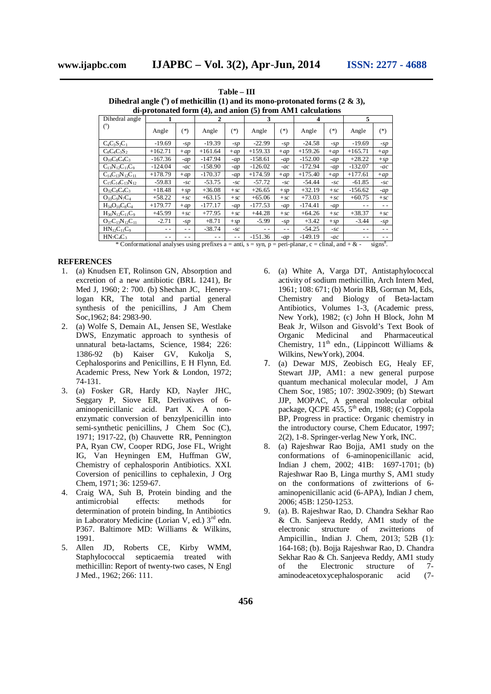**Table – III Dihedral angle (<sup>o</sup> ) of methicillin (1) and its mono-protonated forms (2 & 3), di-protonated form (4), and anion (5) from AM1 calculations**

| ui-protonattu form (¬), anu anion (♂) ironi Aivit taitujations |           |        |           |        |                                                         |        |                                                                                                                                                                                                                                             |                                |           |        |
|----------------------------------------------------------------|-----------|--------|-----------|--------|---------------------------------------------------------|--------|---------------------------------------------------------------------------------------------------------------------------------------------------------------------------------------------------------------------------------------------|--------------------------------|-----------|--------|
| Dihedral angle                                                 |           |        | 2         |        | 3                                                       |        | 4                                                                                                                                                                                                                                           |                                | 5         |        |
| (°)                                                            | Angle     | $(*)$  | Angle     | $(*)$  | Angle                                                   | $(*)$  | Angle                                                                                                                                                                                                                                       | $(*)$                          | Angle     | $(*)$  |
| $C_4C_3S_2C_1$                                                 | $-19.69$  | $-sp$  | $-19.39$  | $-SD$  | $-22.99$                                                | $-SD$  | $-24.58$                                                                                                                                                                                                                                    | $-SD$                          | $-19.69$  | $-sp$  |
| $C_8C_4C_3S_2$                                                 | $+162.71$ | $+ap$  | $+161.64$ | $+ap$  | $+159.33$                                               | $+ap$  | $+159.26$                                                                                                                                                                                                                                   | $+ap$                          | $+165.71$ | $+ap$  |
| $O_{10}C_8C_4C_3$                                              | $-167.36$ | $-ap$  | $-147.94$ | $-ap$  | $-158.61$                                               | $-ap$  | $-152.00$                                                                                                                                                                                                                                   | $-ap$                          | $+28.22$  | $+$ sp |
| $C_{13}N_{12}C_{11}C_9$                                        | $-124.04$ | $-ac$  | $-158.90$ | $-ap$  | $-126.02$                                               | $-ac$  | $-172.94$                                                                                                                                                                                                                                   | $-ap$                          | $-132.07$ | $-ac$  |
| $C_{14}C_{13}N_{12}C_{11}$                                     | $+178.79$ | $+ap$  | $-170.37$ | $-ap$  | $+174.59$                                               | $+ap$  | $+175.40$                                                                                                                                                                                                                                   | $+ap$                          | $+177.61$ | $+ap$  |
| $C_{15}C_{14}C_{13}N_{12}$                                     | $-59.83$  | $-SC$  | $-53.75$  | $-SC$  | $-57.72$                                                | $-SC$  | $-54.44$                                                                                                                                                                                                                                    | $-SC$                          | $-61.85$  | $-SC$  |
| $O_{32}C_8C_4C_3$                                              | $+18.48$  | $+$ sp | $+36.08$  | $+sc$  | $+26.65$                                                | $+$ SD | $+32.19$                                                                                                                                                                                                                                    | $+sc$                          | $-156.62$ | $-ap$  |
| $O_{33}C_{9}N_7C_4$                                            | $+58.22$  | $+sc$  | $+63.15$  | $+sc$  | $+65.06$                                                | $+sc$  | $+73.03$                                                                                                                                                                                                                                    | $+sc$                          | $+60.75$  | $+sc$  |
| $H_{34}O_{10}C_8C_4$                                           | $+179.77$ | $+ap$  | $-177.17$ | $-ap$  | $-177.53$                                               | $-ap$  | $-174.41$                                                                                                                                                                                                                                   | $-ap$                          | - -       |        |
| $H_{36}N_{12}C_{11}C_9$                                        | $+45.99$  | $+sc$  | $+77.95$  | $+sc$  | $+44.28$                                                | $+sc$  | $+64.26$                                                                                                                                                                                                                                    | $+sc$                          | $+38.37$  | $+sc$  |
| $O_{37}C_{13}N_{12}C_{11}$                                     | $-2.71$   | -sp    | $+8.71$   | $+$ SD | $-5.99$                                                 | -sp    | $+3.42$                                                                                                                                                                                                                                     | $+$ SD                         | $-3.44$   | $-sp$  |
| $HN_{12}C_{11}C_{9}$                                           | $ -$      | $ -$   | $-38.74$  | $-SC$  | $ -$                                                    | $ -$   | $-54.25$                                                                                                                                                                                                                                    | $-SC$                          | $ -$      | - -    |
| $HN_7C_4C_3$                                                   |           |        |           |        | $-151.36$<br>the state of the company of the company of | $-ap$  | $-149.19$<br>and the first property of the control of the control of the control of the control of the control of the control of the control of the control of the control of the control of the control of the control of the control of t | $-ac$<br>$-11 - 1 - 1 - 1 = 0$ | - -       |        |

\* Conformational analyses using prefixes  $a = anti$ ,  $s = syn$ ,  $p = peri-planar$ ,  $c = chiral$ , and  $+ &$  - signs<sup>8</sup>.

#### **REFERENCES**

- 1. (a) Knudsen ET, Rolinson GN, Absorption and excretion of a new antibiotic (BRL 1241), Br Med J, 1960; 2: 700. (b) Shechan JC, Henerylogan KR, The total and partial general synthesis of the penicillins, J Am Chem Soc,1962; 84: 2983-90.
- 2. (a) Wolfe S, Demain AL, Jensen SE, Westlake DWS, Enzymatic approach to synthesis of unnatural beta-lactams, Science, 1984; 226: 1386-92 (b) Kaiser GV, Kukolja S, Cephalosporins and Penicillins, E H Flynn, Ed. Academic Press, New York & London, 1972; 74-131.
- 3. (a) Fosker GR, Hardy KD, Nayler JHC, Seggary P, Siove ER, Derivatives of 6 aminopenicillanic acid. Part X. A nonenzymatic conversion of benzylpenicillin into semi-synthetic penicillins, J Chem Soc (C), 1971; 1917-22, (b) Chauvette RR, Pennington PA, Ryan CW, Cooper RDG, Jose FL, Wright IG, Van Heyningen EM, Huffman GW, Chemistry of cephalosporin Antibiotics. XXI. Coversion of penicillins to cephalexin, J Org Chem, 1971; 36: 1259-67.
- 4. Craig WA, Suh B, Protein binding and the antimicrobial effects: methods for determination of protein binding, In Antibiotics in Laboratory Medicine (Lorian V, ed.)  $3<sup>rd</sup>$  edn. P367. Baltimore MD: Williams & Wilkins, 1991.
- 5. Allen JD, Roberts CE, Kirby WMM, Staphylococcal septicaemia treated with methicillin: Report of twenty-two cases, N Engl J Med., 1962; 266: 111.
- 6. (a) White A, Varga DT, Antistaphylococcal activity of sodium methicillin, Arch Intern Med, 1961; 108: 671; (b) Morin RB, Gorman M, Eds, Chemistry and Biology of Beta-lactam Antibiotics, Volumes 1-3, (Academic press, New York), 1982; (c) John H Block, John M Beak Jr, Wilson and Gisvold's Text Book of Organic Medicinal and Pharmaceutical Chemistry,  $11<sup>th</sup>$  edn., (Lippincott Williams & Wilkins, NewYork), 2004.
- 7. (a) Dewar MJS, Zeobisch EG, Healy EF, Stewart JJP, AM1: a new general purpose quantum mechanical molecular model, J Am Chem Soc, 1985; 107: 3902-3909; (b) Stewart JJP, MOPAC, A general molecular orbital package, QCPE  $455, 5^{\text{th}}$  edn, 1988; (c) Coppola BP, Progress in practice: Organic chemistry in the introductory course, Chem Educator, 1997; 2(2), 1-8. Springer-verlag New York, INC.
- 8. (a) Rajeshwar Rao Bojja, AM1 study on the conformations of 6-aminopenicillanic acid, Indian J chem, 2002; 41B: 1697-1701; (b) Rajeshwar Rao B, Linga murthy S, AM1 study on the conformations of zwitterions of 6 aminopenicillanic acid (6-APA), Indian J chem, 2006; 45B: 1250-1253.
- 9. (a). B. Rajeshwar Rao, D. Chandra Sekhar Rao & Ch. Sanjeeva Reddy, AM1 study of the electronic structure of zwitterions of Ampicillin., Indian J. Chem, 2013; 52B (1): 164-168; (b). Bojja Rajeshwar Rao, D. Chandra Sekhar Rao & Ch. Sanjeeva Reddy, AM1 study of the Electronic structure of 7 aminodeacetoxycephalosporanic acid (7-